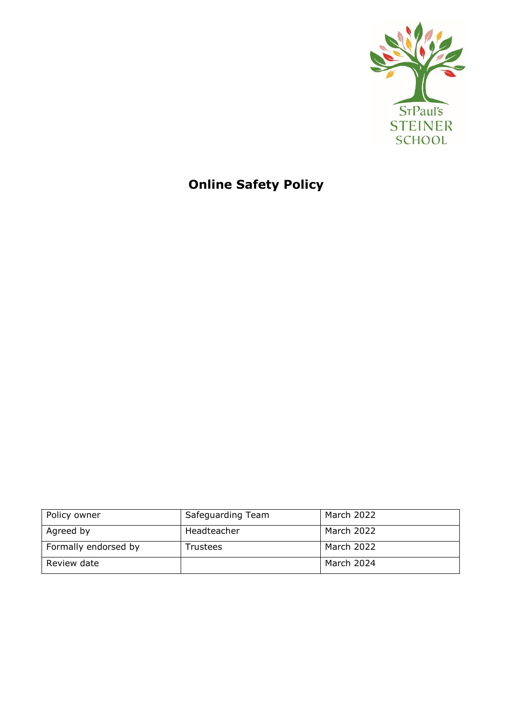

# **Online Safety Policy**

| Policy owner         | Safeguarding Team | March 2022 |
|----------------------|-------------------|------------|
| Agreed by            | Headteacher       | March 2022 |
| Formally endorsed by | Trustees          | March 2022 |
| Review date          |                   | March 2024 |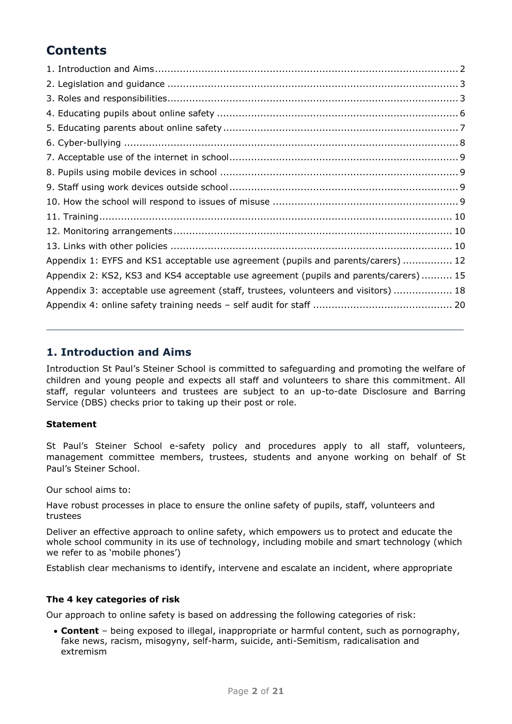## **Contents**

| Appendix 1: EYFS and KS1 acceptable use agreement (pupils and parents/carers)  12    |  |
|--------------------------------------------------------------------------------------|--|
| Appendix 2: KS2, KS3 and KS4 acceptable use agreement (pupils and parents/carers) 15 |  |
| Appendix 3: acceptable use agreement (staff, trustees, volunteers and visitors)  18  |  |
|                                                                                      |  |
|                                                                                      |  |

### <span id="page-1-0"></span>**1. Introduction and Aims**

Introduction St Paul's Steiner School is committed to safeguarding and promoting the welfare of children and young people and expects all staff and volunteers to share this commitment. All staff, regular volunteers and trustees are subject to an up-to-date Disclosure and Barring Service (DBS) checks prior to taking up their post or role.

#### **Statement**

St Paul's Steiner School e-safety policy and procedures apply to all staff, volunteers, management committee members, trustees, students and anyone working on behalf of St Paul's Steiner School.

Our school aims to:

Have robust processes in place to ensure the online safety of pupils, staff, volunteers and trustees

Deliver an effective approach to online safety, which empowers us to protect and educate the whole school community in its use of technology, including mobile and smart technology (which we refer to as 'mobile phones')

Establish clear mechanisms to identify, intervene and escalate an incident, where appropriate

#### **The 4 key categories of risk**

Our approach to online safety is based on addressing the following categories of risk:

 **Content** – being exposed to illegal, inappropriate or harmful content, such as pornography, fake news, racism, misogyny, self-harm, suicide, anti-Semitism, radicalisation and extremism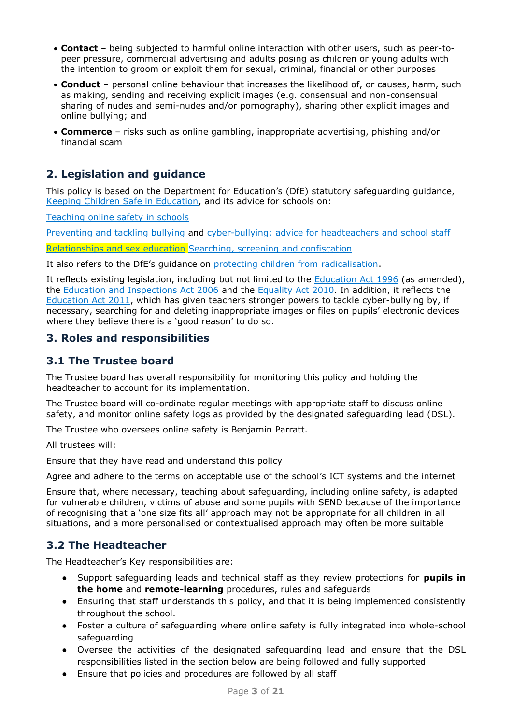- **Contact** being subjected to harmful online interaction with other users, such as peer-topeer pressure, commercial advertising and adults posing as children or young adults with the intention to groom or exploit them for sexual, criminal, financial or other purposes
- **Conduct** personal online behaviour that increases the likelihood of, or causes, harm, such as making, sending and receiving explicit images (e.g. consensual and non-consensual sharing of nudes and semi-nudes and/or pornography), sharing other explicit images and online bullying; and
- **Commerce** risks such as online gambling, inappropriate advertising, phishing and/or financial scam

### <span id="page-2-0"></span>**2. Legislation and guidance**

This policy is based on the Department for Education's (DfE) statutory safeguarding guidance, [Keeping Children Safe in Education,](https://www.gov.uk/government/publications/keeping-children-safe-in-education--2) and its advice for schools on:

[Teaching online safety in schools](https://www.gov.uk/government/publications/teaching-online-safety-in-schools)

[Preventing and tackling bullying](https://www.gov.uk/government/publications/preventing-and-tackling-bullying) and [cyber-bullying: advice for headteachers and school staff](https://www.gov.uk/government/publications/preventing-and-tackling-bullying)

[Relationships and sex education](https://www.gov.uk/government/publications/relationships-education-relationships-and-sex-education-rse-and-health-education) [Searching, screening and confiscation](https://www.gov.uk/government/publications/searching-screening-and-confiscation)

It also refers to the DfE's guidance on [protecting children from radicalisation.](https://www.gov.uk/government/publications/protecting-children-from-radicalisation-the-prevent-duty)

It reflects existing legislation, including but not limited to the [Education Act 1996](https://www.legislation.gov.uk/ukpga/1996/56/contents) (as amended), the [Education and Inspections Act 2006](https://www.legislation.gov.uk/ukpga/2006/40/contents) and the [Equality Act 2010.](https://www.legislation.gov.uk/ukpga/2010/15/contents) In addition, it reflects the [Education Act 2011,](http://www.legislation.gov.uk/ukpga/2011/21/contents/enacted) which has given teachers stronger powers to tackle cyber-bullying by, if necessary, searching for and deleting inappropriate images or files on pupils' electronic devices where they believe there is a 'good reason' to do so.

### <span id="page-2-1"></span>**3. Roles and responsibilities**

### **3.1 The Trustee board**

The Trustee board has overall responsibility for monitoring this policy and holding the headteacher to account for its implementation.

The Trustee board will co-ordinate regular meetings with appropriate staff to discuss online safety, and monitor online safety logs as provided by the designated safeguarding lead (DSL).

The Trustee who oversees online safety is Benjamin Parratt.

All trustees will:

Ensure that they have read and understand this policy

Agree and adhere to the terms on acceptable use of the school's ICT systems and the internet

Ensure that, where necessary, teaching about safeguarding, including online safety, is adapted for vulnerable children, victims of abuse and some pupils with SEND because of the importance of recognising that a 'one size fits all' approach may not be appropriate for all children in all situations, and a more personalised or contextualised approach may often be more suitable

### **3.2 The Headteacher**

The Headteacher's Key responsibilities are:

- Support safeguarding leads and technical staff as they review protections for **pupils in the home** and **remote-learning** procedures, rules and safeguards
- Ensuring that staff understands this policy, and that it is being implemented consistently throughout the school.
- Foster a culture of safeguarding where online safety is fully integrated into whole-school safeguarding
- Oversee the activities of the designated safeguarding lead and ensure that the DSL responsibilities listed in the section below are being followed and fully supported
- Ensure that policies and procedures are followed by all staff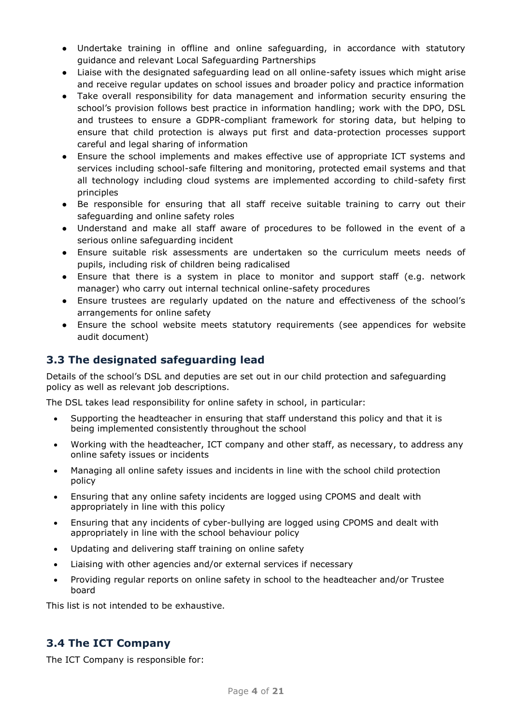- Undertake training in offline and online safeguarding, in accordance with statutory guidance and relevant Local Safeguarding Partnerships
- Liaise with the designated safeguarding lead on all online-safety issues which might arise and receive regular updates on school issues and broader policy and practice information
- Take overall responsibility for data management and information security ensuring the school's provision follows best practice in information handling; work with the DPO, DSL and trustees to ensure a GDPR-compliant framework for storing data, but helping to ensure that child protection is always put first and data-protection processes support careful and legal sharing of information
- Ensure the school implements and makes effective use of appropriate ICT systems and services including school-safe filtering and monitoring, protected email systems and that all technology including cloud systems are implemented according to child-safety first principles
- Be responsible for ensuring that all staff receive suitable training to carry out their safeguarding and online safety roles
- Understand and make all staff aware of procedures to be followed in the event of a serious online safeguarding incident
- Ensure suitable risk assessments are undertaken so the curriculum meets needs of pupils, including risk of children being radicalised
- Ensure that there is a system in place to monitor and support staff (e.g. network manager) who carry out internal technical online-safety procedures
- Ensure trustees are regularly updated on the nature and effectiveness of the school's arrangements for online safety
- Ensure the school website meets statutory requirements (see appendices for website audit document)

### **3.3 The designated safeguarding lead**

Details of the school's DSL and deputies are set out in our child protection and safeguarding policy as well as relevant job descriptions.

The DSL takes lead responsibility for online safety in school, in particular:

- Supporting the headteacher in ensuring that staff understand this policy and that it is being implemented consistently throughout the school
- Working with the headteacher, ICT company and other staff, as necessary, to address any online safety issues or incidents
- Managing all online safety issues and incidents in line with the school child protection policy
- Ensuring that any online safety incidents are logged using CPOMS and dealt with appropriately in line with this policy
- Ensuring that any incidents of cyber-bullying are logged using CPOMS and dealt with appropriately in line with the school behaviour policy
- Updating and delivering staff training on online safety
- Liaising with other agencies and/or external services if necessary
- Providing regular reports on online safety in school to the headteacher and/or Trustee board

This list is not intended to be exhaustive.

### **3.4 The ICT Company**

The ICT Company is responsible for: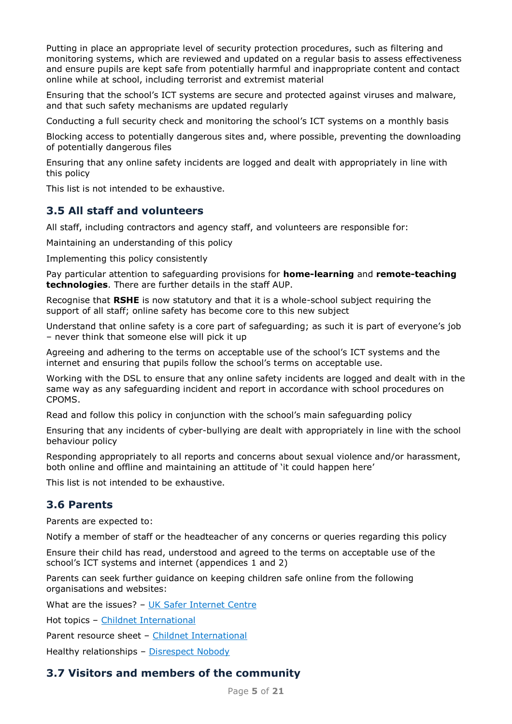Putting in place an appropriate level of security protection procedures, such as filtering and monitoring systems, which are reviewed and updated on a regular basis to assess effectiveness and ensure pupils are kept safe from potentially harmful and inappropriate content and contact online while at school, including terrorist and extremist material

Ensuring that the school's ICT systems are secure and protected against viruses and malware, and that such safety mechanisms are updated regularly

Conducting a full security check and monitoring the school's ICT systems on a monthly basis

Blocking access to potentially dangerous sites and, where possible, preventing the downloading of potentially dangerous files

Ensuring that any online safety incidents are logged and dealt with appropriately in line with this policy

This list is not intended to be exhaustive.

### **3.5 All staff and volunteers**

All staff, including contractors and agency staff, and volunteers are responsible for:

Maintaining an understanding of this policy

Implementing this policy consistently

Pay particular attention to safeguarding provisions for **home-learning** and **remote-teaching technologies**. There are further details in the staff AUP.

Recognise that **RSHE** is now statutory and that it is a whole-school subject requiring the support of all staff; online safety has become core to this new subject

Understand that online safety is a core part of safeguarding; as such it is part of everyone's job – never think that someone else will pick it up

Agreeing and adhering to the terms on acceptable use of the school's ICT systems and the internet and ensuring that pupils follow the school's terms on acceptable use.

Working with the DSL to ensure that any online safety incidents are logged and dealt with in the same way as any safeguarding incident and report in accordance with school procedures on CPOMS.

Read and follow this policy in conjunction with the school's main safeguarding policy

Ensuring that any incidents of cyber-bullying are dealt with appropriately in line with the school behaviour policy

Responding appropriately to all reports and concerns about sexual violence and/or harassment, both online and offline and maintaining an attitude of 'it could happen here'

This list is not intended to be exhaustive.

### **3.6 Parents**

Parents are expected to:

Notify a member of staff or the headteacher of any concerns or queries regarding this policy

Ensure their child has read, understood and agreed to the terms on acceptable use of the school's ICT systems and internet (appendices 1 and 2)

Parents can seek further guidance on keeping children safe online from the following organisations and websites:

What are the issues? - [UK Safer Internet Centre](https://www.saferinternet.org.uk/advice-centre/parents-and-carers/what-are-issues)

Hot topics – [Childnet International](http://www.childnet.com/parents-and-carers/hot-topics)

Parent resource sheet – [Childnet International](https://www.childnet.com/resources/parents-and-carers-resource-sheet)

Healthy relationships – [Disrespect Nobody](https://www.disrespectnobody.co.uk/)

### **3.7 Visitors and members of the community**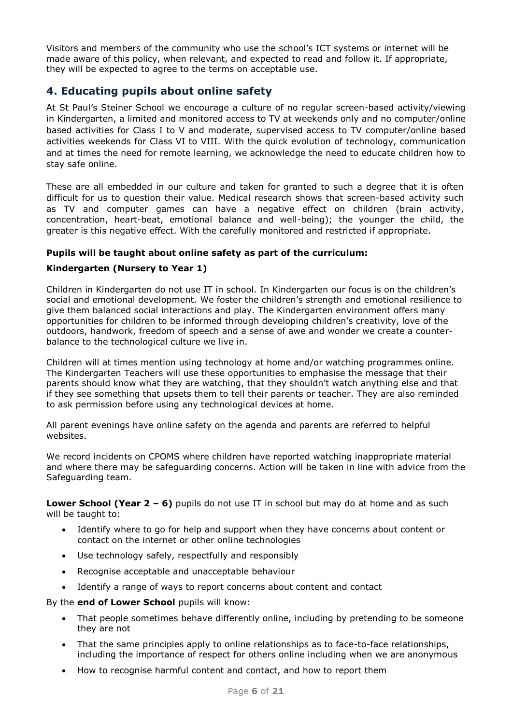Visitors and members of the community who use the school's ICT systems or internet will be made aware of this policy, when relevant, and expected to read and follow it. If appropriate, they will be expected to agree to the terms on acceptable use.

### <span id="page-5-0"></span>**4. Educating pupils about online safety**

At St Paul's Steiner School we encourage a culture of no regular screen-based activity/viewing in Kindergarten, a limited and monitored access to TV at weekends only and no computer/online based activities for Class I to V and moderate, supervised access to TV computer/online based activities weekends for Class VI to VIII. With the quick evolution of technology, communication and at times the need for remote learning, we acknowledge the need to educate children how to stay safe online.

These are all embedded in our culture and taken for granted to such a degree that it is often difficult for us to question their value. Medical research shows that screen-based activity such as TV and computer games can have a negative effect on children (brain activity, concentration, heart-beat, emotional balance and well-being); the younger the child, the greater is this negative effect. With the carefully monitored and restricted if appropriate.

#### **Pupils will be taught about online safety as part of the curriculum:**

#### **Kindergarten (Nursery to Year 1)**

Children in Kindergarten do not use IT in school. In Kindergarten our focus is on the children's social and emotional development. We foster the children's strength and emotional resilience to give them balanced social interactions and play. The Kindergarten environment offers many opportunities for children to be informed through developing children's creativity, love of the outdoors, handwork, freedom of speech and a sense of awe and wonder we create a counterbalance to the technological culture we live in.

Children will at times mention using technology at home and/or watching programmes online. The Kindergarten Teachers will use these opportunities to emphasise the message that their parents should know what they are watching, that they shouldn't watch anything else and that if they see something that upsets them to tell their parents or teacher. They are also reminded to ask permission before using any technological devices at home.

All parent evenings have online safety on the agenda and parents are referred to helpful websites.

We record incidents on CPOMS where children have reported watching inappropriate material and where there may be safeguarding concerns. Action will be taken in line with advice from the Safeguarding team.

**Lower School (Year 2 – 6)** pupils do not use IT in school but may do at home and as such will be taught to:

- Identify where to go for help and support when they have concerns about content or contact on the internet or other online technologies
- Use technology safely, respectfully and responsibly
- Recognise acceptable and unacceptable behaviour
- Identify a range of ways to report concerns about content and contact

By the **end of Lower School** pupils will know:

- That people sometimes behave differently online, including by pretending to be someone they are not
- That the same principles apply to online relationships as to face-to-face relationships, including the importance of respect for others online including when we are anonymous
- How to recognise harmful content and contact, and how to report them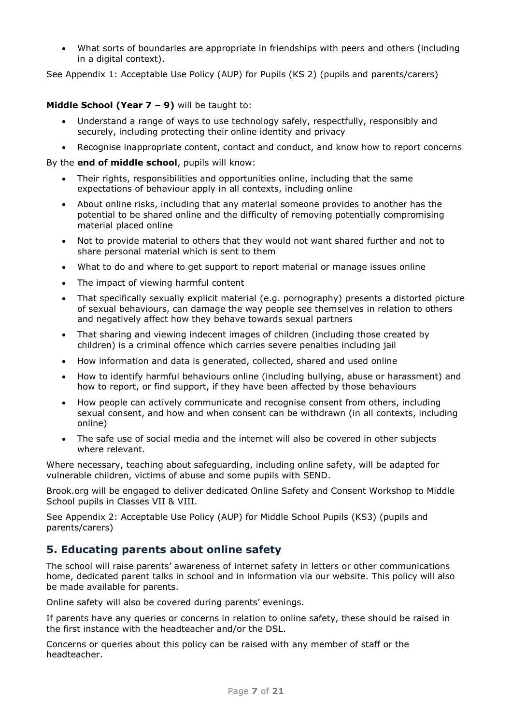What sorts of boundaries are appropriate in friendships with peers and others (including in a digital context).

See Appendix 1: Acceptable Use Policy (AUP) for Pupils (KS 2) (pupils and parents/carers)

#### **Middle School (Year 7 – 9)** will be taught to:

- Understand a range of ways to use technology safely, respectfully, responsibly and securely, including protecting their online identity and privacy
- Recognise inappropriate content, contact and conduct, and know how to report concerns

By the **end of middle school**, pupils will know:

- Their rights, responsibilities and opportunities online, including that the same expectations of behaviour apply in all contexts, including online
- About online risks, including that any material someone provides to another has the potential to be shared online and the difficulty of removing potentially compromising material placed online
- Not to provide material to others that they would not want shared further and not to share personal material which is sent to them
- What to do and where to get support to report material or manage issues online
- The impact of viewing harmful content
- That specifically sexually explicit material (e.g. pornography) presents a distorted picture of sexual behaviours, can damage the way people see themselves in relation to others and negatively affect how they behave towards sexual partners
- That sharing and viewing indecent images of children (including those created by children) is a criminal offence which carries severe penalties including jail
- How information and data is generated, collected, shared and used online
- How to identify harmful behaviours online (including bullying, abuse or harassment) and how to report, or find support, if they have been affected by those behaviours
- How people can actively communicate and recognise consent from others, including sexual consent, and how and when consent can be withdrawn (in all contexts, including online)
- The safe use of social media and the internet will also be covered in other subjects where relevant.

Where necessary, teaching about safeguarding, including online safety, will be adapted for vulnerable children, victims of abuse and some pupils with SEND.

Brook.org will be engaged to deliver dedicated Online Safety and Consent Workshop to Middle School pupils in Classes VII & VIII.

See Appendix 2: Acceptable Use Policy (AUP) for Middle School Pupils (KS3) (pupils and parents/carers)

### <span id="page-6-0"></span>**5. Educating parents about online safety**

The school will raise parents' awareness of internet safety in letters or other communications home, dedicated parent talks in school and in information via our website. This policy will also be made available for parents.

Online safety will also be covered during parents' evenings.

If parents have any queries or concerns in relation to online safety, these should be raised in the first instance with the headteacher and/or the DSL.

Concerns or queries about this policy can be raised with any member of staff or the headteacher.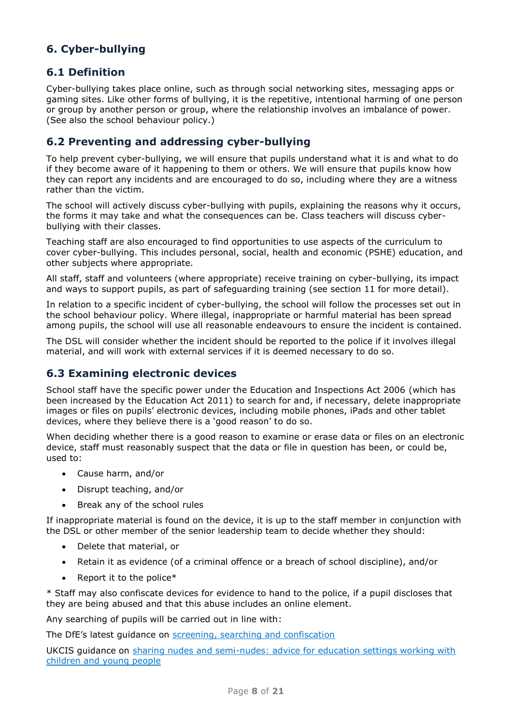### <span id="page-7-0"></span>**6. Cyber-bullying**

### **6.1 Definition**

Cyber-bullying takes place online, such as through social networking sites, messaging apps or gaming sites. Like other forms of bullying, it is the repetitive, intentional harming of one person or group by another person or group, where the relationship involves an imbalance of power. (See also the school behaviour policy.)

### **6.2 Preventing and addressing cyber-bullying**

To help prevent cyber-bullying, we will ensure that pupils understand what it is and what to do if they become aware of it happening to them or others. We will ensure that pupils know how they can report any incidents and are encouraged to do so, including where they are a witness rather than the victim.

The school will actively discuss cyber-bullying with pupils, explaining the reasons why it occurs, the forms it may take and what the consequences can be. Class teachers will discuss cyberbullying with their classes.

Teaching staff are also encouraged to find opportunities to use aspects of the curriculum to cover cyber-bullying. This includes personal, social, health and economic (PSHE) education, and other subjects where appropriate.

All staff, staff and volunteers (where appropriate) receive training on cyber-bullying, its impact and ways to support pupils, as part of safeguarding training (see section 11 for more detail).

In relation to a specific incident of cyber-bullying, the school will follow the processes set out in the school behaviour policy. Where illegal, inappropriate or harmful material has been spread among pupils, the school will use all reasonable endeavours to ensure the incident is contained.

The DSL will consider whether the incident should be reported to the police if it involves illegal material, and will work with external services if it is deemed necessary to do so.

### **6.3 Examining electronic devices**

School staff have the specific power under the Education and Inspections Act 2006 (which has been increased by the Education Act 2011) to search for and, if necessary, delete inappropriate images or files on pupils' electronic devices, including mobile phones, iPads and other tablet devices, where they believe there is a 'good reason' to do so.

When deciding whether there is a good reason to examine or erase data or files on an electronic device, staff must reasonably suspect that the data or file in question has been, or could be, used to:

- Cause harm, and/or
- Disrupt teaching, and/or
- Break any of the school rules

If inappropriate material is found on the device, it is up to the staff member in conjunction with the DSL or other member of the senior leadership team to decide whether they should:

- Delete that material, or
- Retain it as evidence (of a criminal offence or a breach of school discipline), and/or
- Report it to the police $*$

\* Staff may also confiscate devices for evidence to hand to the police, if a pupil discloses that they are being abused and that this abuse includes an online element.

Any searching of pupils will be carried out in line with:

The DfE's latest guidance on [screening, searching and confiscation](https://www.gov.uk/government/publications/searching-screening-and-confiscation)

UKCIS guidance on [sharing nudes and semi-nudes: advice for education settings working with](https://www.gov.uk/government/publications/sharing-nudes-and-semi-nudes-advice-for-education-settings-working-with-children-and-young-people)  [children and young people](https://www.gov.uk/government/publications/sharing-nudes-and-semi-nudes-advice-for-education-settings-working-with-children-and-young-people)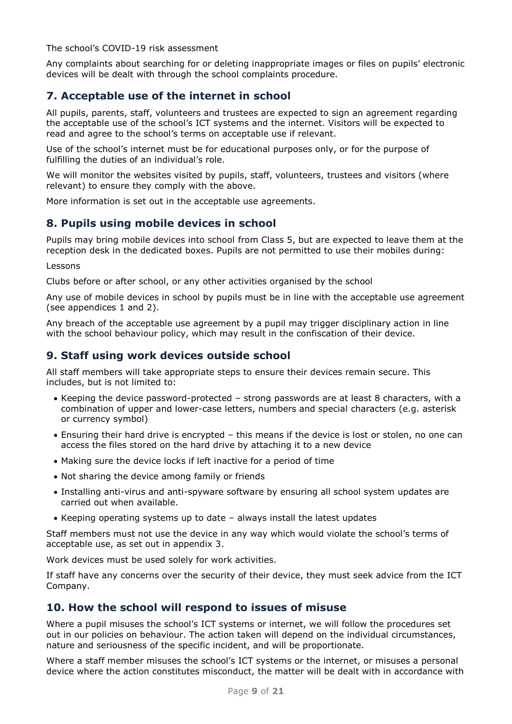The school's COVID-19 risk assessment

Any complaints about searching for or deleting inappropriate images or files on pupils' electronic devices will be dealt with through the school complaints procedure.

### <span id="page-8-0"></span>**7. Acceptable use of the internet in school**

All pupils, parents, staff, volunteers and trustees are expected to sign an agreement regarding the acceptable use of the school's ICT systems and the internet. Visitors will be expected to read and agree to the school's terms on acceptable use if relevant.

Use of the school's internet must be for educational purposes only, or for the purpose of fulfilling the duties of an individual's role.

We will monitor the websites visited by pupils, staff, volunteers, trustees and visitors (where relevant) to ensure they comply with the above.

More information is set out in the acceptable use agreements.

### <span id="page-8-1"></span>**8. Pupils using mobile devices in school**

Pupils may bring mobile devices into school from Class 5, but are expected to leave them at the reception desk in the dedicated boxes. Pupils are not permitted to use their mobiles during:

Lessons

Clubs before or after school, or any other activities organised by the school

Any use of mobile devices in school by pupils must be in line with the acceptable use agreement (see appendices 1 and 2).

Any breach of the acceptable use agreement by a pupil may trigger disciplinary action in line with the school behaviour policy, which may result in the confiscation of their device.

### <span id="page-8-2"></span>**9. Staff using work devices outside school**

All staff members will take appropriate steps to ensure their devices remain secure. This includes, but is not limited to:

- Keeping the device password-protected strong passwords are at least 8 characters, with a combination of upper and lower-case letters, numbers and special characters (e.g. asterisk or currency symbol)
- Ensuring their hard drive is encrypted this means if the device is lost or stolen, no one can access the files stored on the hard drive by attaching it to a new device
- Making sure the device locks if left inactive for a period of time
- Not sharing the device among family or friends
- Installing anti-virus and anti-spyware software by ensuring all school system updates are carried out when available.
- Keeping operating systems up to date always install the latest updates

Staff members must not use the device in any way which would violate the school's terms of acceptable use, as set out in appendix 3.

Work devices must be used solely for work activities.

If staff have any concerns over the security of their device, they must seek advice from the ICT Company.

### <span id="page-8-3"></span>**10. How the school will respond to issues of misuse**

Where a pupil misuses the school's ICT systems or internet, we will follow the procedures set out in our policies on behaviour. The action taken will depend on the individual circumstances, nature and seriousness of the specific incident, and will be proportionate.

Where a staff member misuses the school's ICT systems or the internet, or misuses a personal device where the action constitutes misconduct, the matter will be dealt with in accordance with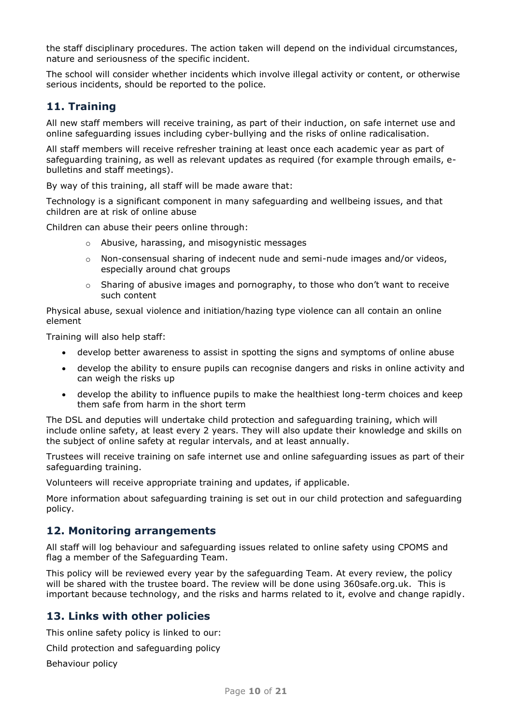the staff disciplinary procedures. The action taken will depend on the individual circumstances, nature and seriousness of the specific incident.

The school will consider whether incidents which involve illegal activity or content, or otherwise serious incidents, should be reported to the police.

### <span id="page-9-0"></span>**11. Training**

All new staff members will receive training, as part of their induction, on safe internet use and online safeguarding issues including cyber-bullying and the risks of online radicalisation.

All staff members will receive refresher training at least once each academic year as part of safeguarding training, as well as relevant updates as required (for example through emails, ebulletins and staff meetings).

By way of this training, all staff will be made aware that:

Technology is a significant component in many safeguarding and wellbeing issues, and that children are at risk of online abuse

Children can abuse their peers online through:

- o Abusive, harassing, and misogynistic messages
- o Non-consensual sharing of indecent nude and semi-nude images and/or videos, especially around chat groups
- $\circ$  Sharing of abusive images and pornography, to those who don't want to receive such content

Physical abuse, sexual violence and initiation/hazing type violence can all contain an online element

Training will also help staff:

- develop better awareness to assist in spotting the signs and symptoms of online abuse
- develop the ability to ensure pupils can recognise dangers and risks in online activity and can weigh the risks up
- develop the ability to influence pupils to make the healthiest long-term choices and keep them safe from harm in the short term

The DSL and deputies will undertake child protection and safeguarding training, which will include online safety, at least every 2 years. They will also update their knowledge and skills on the subject of online safety at regular intervals, and at least annually.

Trustees will receive training on safe internet use and online safeguarding issues as part of their safeguarding training.

Volunteers will receive appropriate training and updates, if applicable.

More information about safeguarding training is set out in our child protection and safeguarding policy.

#### <span id="page-9-1"></span>**12. Monitoring arrangements**

All staff will log behaviour and safeguarding issues related to online safety using CPOMS and flag a member of the Safeguarding Team.

This policy will be reviewed every year by the safeguarding Team. At every review, the policy will be shared with the trustee board. The review will be done using 360safe.org.uk. This is important because technology, and the risks and harms related to it, evolve and change rapidly.

#### <span id="page-9-2"></span>**13. Links with other policies**

This online safety policy is linked to our:

Child protection and safeguarding policy

Behaviour policy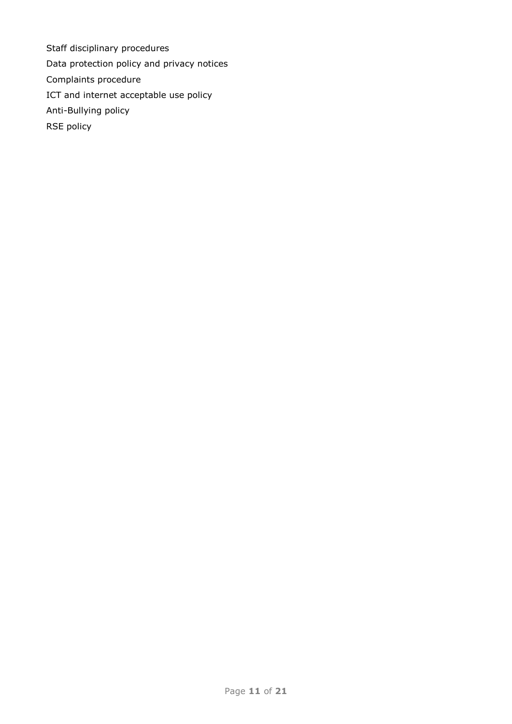Staff disciplinary procedures Data protection policy and privacy notices Complaints procedure ICT and internet acceptable use policy Anti-Bullying policy RSE policy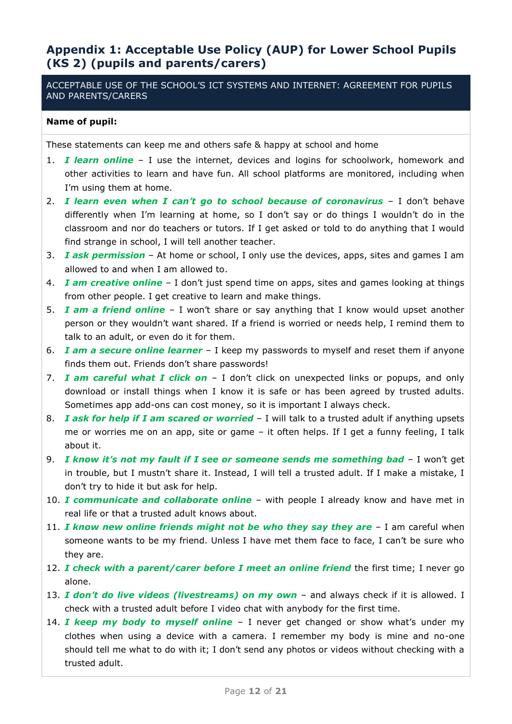### <span id="page-11-0"></span>**Appendix 1: Acceptable Use Policy (AUP) for Lower School Pupils (KS 2) (pupils and parents/carers)**

ACCEPTABLE USE OF THE SCHOOL'S ICT SYSTEMS AND INTERNET: AGREEMENT FOR PUPILS AND PARENTS/CARERS

#### **Name of pupil:**

These statements can keep me and others safe & happy at school and home

- 1. *I learn online*  I use the internet, devices and logins for schoolwork, homework and other activities to learn and have fun. All school platforms are monitored, including when I'm using them at home.
- 2. *I learn even when I can't go to school because of coronavirus* I don't behave differently when I'm learning at home, so I don't say or do things I wouldn't do in the classroom and nor do teachers or tutors. If I get asked or told to do anything that I would find strange in school, I will tell another teacher.
- 3. *I ask permission*  At home or school, I only use the devices, apps, sites and games I am allowed to and when I am allowed to.
- 4. *I am creative online* I don't just spend time on apps, sites and games looking at things from other people. I get creative to learn and make things.
- 5. *I am a friend online*  I won't share or say anything that I know would upset another person or they wouldn't want shared. If a friend is worried or needs help, I remind them to talk to an adult, or even do it for them.
- 6. *I am a secure online learner* I keep my passwords to myself and reset them if anyone finds them out. Friends don't share passwords!
- 7. **I am careful what I click on** I don't click on unexpected links or popups, and only download or install things when I know it is safe or has been agreed by trusted adults. Sometimes app add-ons can cost money, so it is important I always check.
- 8. *I ask for help if I am scared or worried* I will talk to a trusted adult if anything upsets me or worries me on an app, site or game – it often helps. If I get a funny feeling, I talk about it.
- 9. *I know it's not my fault if I see or someone sends me something bad I won't get* in trouble, but I mustn't share it. Instead, I will tell a trusted adult. If I make a mistake, I don't try to hide it but ask for help.
- 10. *I communicate and collaborate online* with people I already know and have met in real life or that a trusted adult knows about.
- 11. *I know new online friends might not be who they say they are -* I am careful when someone wants to be my friend. Unless I have met them face to face, I can't be sure who they are.
- 12. *I check with a parent/carer before I meet an online friend* the first time; I never go alone.
- 13. *I don't do live videos (livestreams) on my own -* and always check if it is allowed. I check with a trusted adult before I video chat with anybody for the first time.
- 14. *I keep my body to myself online*  I never get changed or show what's under my clothes when using a device with a camera. I remember my body is mine and no-one should tell me what to do with it; I don't send any photos or videos without checking with a trusted adult.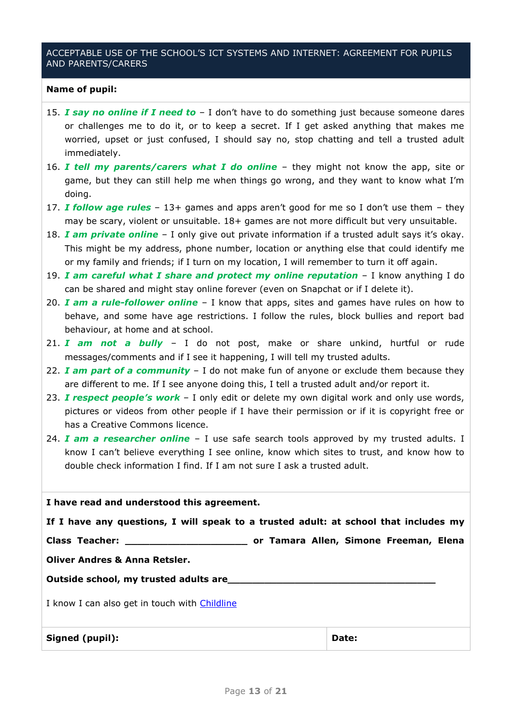#### ACCEPTABLE USE OF THE SCHOOL'S ICT SYSTEMS AND INTERNET: AGREEMENT FOR PUPILS AND PARENTS/CARERS

#### **Name of pupil:**

- 15. *I say no online if I need to*  I don't have to do something just because someone dares or challenges me to do it, or to keep a secret. If I get asked anything that makes me worried, upset or just confused, I should say no, stop chatting and tell a trusted adult immediately.
- 16. *I tell my parents/carers what I do online*  they might not know the app, site or game, but they can still help me when things go wrong, and they want to know what I'm doing.
- 17. *I follow age rules*  13+ games and apps aren't good for me so I don't use them they may be scary, violent or unsuitable. 18+ games are not more difficult but very unsuitable.
- 18. *I am private online* I only give out private information if a trusted adult says it's okay. This might be my address, phone number, location or anything else that could identify me or my family and friends; if I turn on my location, I will remember to turn it off again.
- 19. *I am careful what I share and protect my online reputation* I know anything I do can be shared and might stay online forever (even on Snapchat or if I delete it).
- 20. *I am a rule-follower online* I know that apps, sites and games have rules on how to behave, and some have age restrictions. I follow the rules, block bullies and report bad behaviour, at home and at school.
- 21. *I am not a bully*  I do not post, make or share unkind, hurtful or rude messages/comments and if I see it happening, I will tell my trusted adults.
- 22. *I am part of a community*  I do not make fun of anyone or exclude them because they are different to me. If I see anyone doing this, I tell a trusted adult and/or report it.
- 23. *I respect people's work*  I only edit or delete my own digital work and only use words, pictures or videos from other people if I have their permission or if it is copyright free or has a Creative Commons licence.
- 24. *I am a researcher online* I use safe search tools approved by my trusted adults. I know I can't believe everything I see online, know which sites to trust, and know how to double check information I find. If I am not sure I ask a trusted adult.

| I have read and understood this agreement.                                           |  |  |       |  |  |
|--------------------------------------------------------------------------------------|--|--|-------|--|--|
| If I have any questions, I will speak to a trusted adult: at school that includes my |  |  |       |  |  |
|                                                                                      |  |  |       |  |  |
| <b>Oliver Andres &amp; Anna Retsler.</b>                                             |  |  |       |  |  |
| Outside school, my trusted adults are                                                |  |  |       |  |  |
| I know I can also get in touch with Childline                                        |  |  |       |  |  |
| Signed (pupil):                                                                      |  |  | Date: |  |  |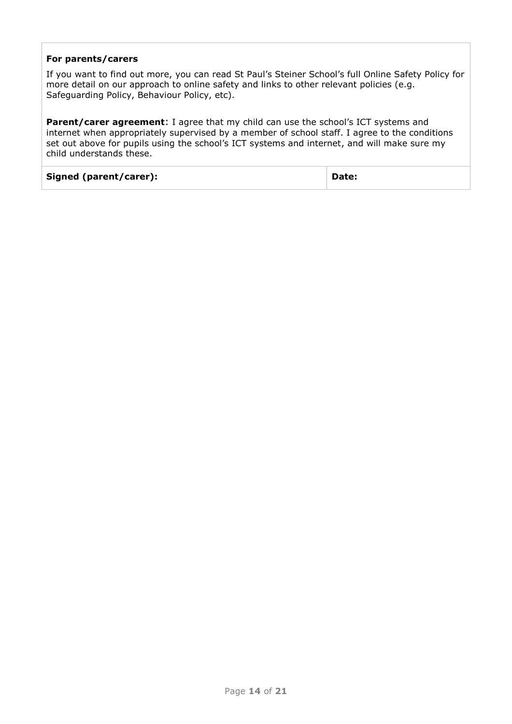#### **For parents/carers**

If you want to find out more, you can read St Paul's Steiner School's full Online Safety Policy for more detail on our approach to online safety and links to other relevant policies (e.g. Safeguarding Policy, Behaviour Policy, etc).

**Parent/carer agreement:** I agree that my child can use the school's ICT systems and internet when appropriately supervised by a member of school staff. I agree to the conditions set out above for pupils using the school's ICT systems and internet, and will make sure my child understands these.

| Signed (parent/carer): | Date: |
|------------------------|-------|
|------------------------|-------|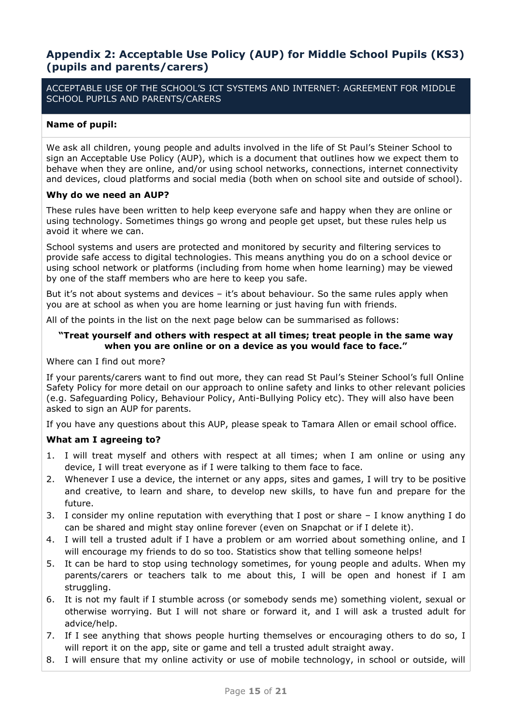### <span id="page-14-0"></span>**Appendix 2: Acceptable Use Policy (AUP) for Middle School Pupils (KS3) (pupils and parents/carers)**

ACCEPTABLE USE OF THE SCHOOL'S ICT SYSTEMS AND INTERNET: AGREEMENT FOR MIDDLE SCHOOL PUPILS AND PARENTS/CARERS

#### **Name of pupil:**

We ask all children, young people and adults involved in the life of St Paul's Steiner School to sign an Acceptable Use Policy (AUP), which is a document that outlines how we expect them to behave when they are online, and/or using school networks, connections, internet connectivity and devices, cloud platforms and social media (both when on school site and outside of school).

#### **Why do we need an AUP?**

These rules have been written to help keep everyone safe and happy when they are online or using technology. Sometimes things go wrong and people get upset, but these rules help us avoid it where we can.

School systems and users are protected and monitored by security and filtering services to provide safe access to digital technologies. This means anything you do on a school device or using school network or platforms (including from home when home learning) may be viewed by one of the staff members who are here to keep you safe.

But it's not about systems and devices – it's about behaviour. So the same rules apply when you are at school as when you are home learning or just having fun with friends.

All of the points in the list on the next page below can be summarised as follows:

#### **"Treat yourself and others with respect at all times; treat people in the same way when you are online or on a device as you would face to face."**

Where can I find out more?

If your parents/carers want to find out more, they can read St Paul's Steiner School's full Online Safety Policy for more detail on our approach to online safety and links to other relevant policies (e.g. Safeguarding Policy, Behaviour Policy, Anti-Bullying Policy etc). They will also have been asked to sign an AUP for parents.

If you have any questions about this AUP, please speak to Tamara Allen or email school office.

#### **What am I agreeing to?**

- 1. I will treat myself and others with respect at all times; when I am online or using any device, I will treat everyone as if I were talking to them face to face.
- 2. Whenever I use a device, the internet or any apps, sites and games, I will try to be positive and creative, to learn and share, to develop new skills, to have fun and prepare for the future.
- 3. I consider my online reputation with everything that I post or share I know anything I do can be shared and might stay online forever (even on Snapchat or if I delete it).
- 4. I will tell a trusted adult if I have a problem or am worried about something online, and I will encourage my friends to do so too. Statistics show that telling someone helps!
- 5. It can be hard to stop using technology sometimes, for young people and adults. When my parents/carers or teachers talk to me about this, I will be open and honest if I am struggling.
- 6. It is not my fault if I stumble across (or somebody sends me) something violent, sexual or otherwise worrying. But I will not share or forward it, and I will ask a trusted adult for advice/help.
- 7. If I see anything that shows people hurting themselves or encouraging others to do so, I will report it on the app, site or game and tell a trusted adult straight away.
- 8. I will ensure that my online activity or use of mobile technology, in school or outside, will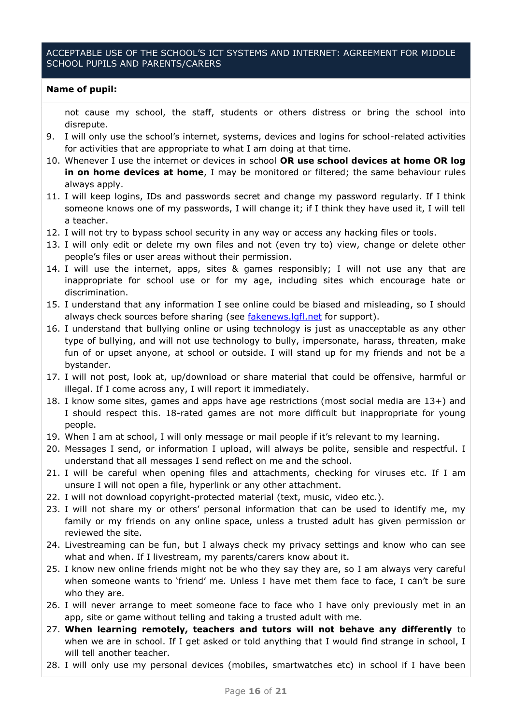#### ACCEPTABLE USE OF THE SCHOOL'S ICT SYSTEMS AND INTERNET: AGREEMENT FOR MIDDLE SCHOOL PUPILS AND PARENTS/CARERS

#### **Name of pupil:**

not cause my school, the staff, students or others distress or bring the school into disrepute.

- 9. I will only use the school's internet, systems, devices and logins for school-related activities for activities that are appropriate to what I am doing at that time.
- 10. Whenever I use the internet or devices in school **OR use school devices at home OR log in on home devices at home**, I may be monitored or filtered; the same behaviour rules always apply.
- 11. I will keep logins, IDs and passwords secret and change my password regularly. If I think someone knows one of my passwords, I will change it; if I think they have used it, I will tell a teacher.
- 12. I will not try to bypass school security in any way or access any hacking files or tools.
- 13. I will only edit or delete my own files and not (even try to) view, change or delete other people's files or user areas without their permission.
- 14. I will use the internet, apps, sites & games responsibly; I will not use any that are inappropriate for school use or for my age, including sites which encourage hate or discrimination.
- 15. I understand that any information I see online could be biased and misleading, so I should always check sources before sharing (see [fakenews.lgfl.net](https://fakenews.lgfl.net/) for support).
- 16. I understand that bullying online or using technology is just as unacceptable as any other type of bullying, and will not use technology to bully, impersonate, harass, threaten, make fun of or upset anyone, at school or outside. I will stand up for my friends and not be a bystander.
- 17. I will not post, look at, up/download or share material that could be offensive, harmful or illegal. If I come across any, I will report it immediately.
- 18. I know some sites, games and apps have age restrictions (most social media are 13+) and I should respect this. 18-rated games are not more difficult but inappropriate for young people.
- 19. When I am at school, I will only message or mail people if it's relevant to my learning.
- 20. Messages I send, or information I upload, will always be polite, sensible and respectful. I understand that all messages I send reflect on me and the school.
- 21. I will be careful when opening files and attachments, checking for viruses etc. If I am unsure I will not open a file, hyperlink or any other attachment.
- 22. I will not download copyright-protected material (text, music, video etc.).
- 23. I will not share my or others' personal information that can be used to identify me, my family or my friends on any online space, unless a trusted adult has given permission or reviewed the site.
- 24. Livestreaming can be fun, but I always check my privacy settings and know who can see what and when. If I livestream, my parents/carers know about it.
- 25. I know new online friends might not be who they say they are, so I am always very careful when someone wants to 'friend' me. Unless I have met them face to face, I can't be sure who they are.
- 26. I will never arrange to meet someone face to face who I have only previously met in an app, site or game without telling and taking a trusted adult with me.
- 27. **When learning remotely, teachers and tutors will not behave any differently** to when we are in school. If I get asked or told anything that I would find strange in school, I will tell another teacher.
- 28. I will only use my personal devices (mobiles, smartwatches etc) in school if I have been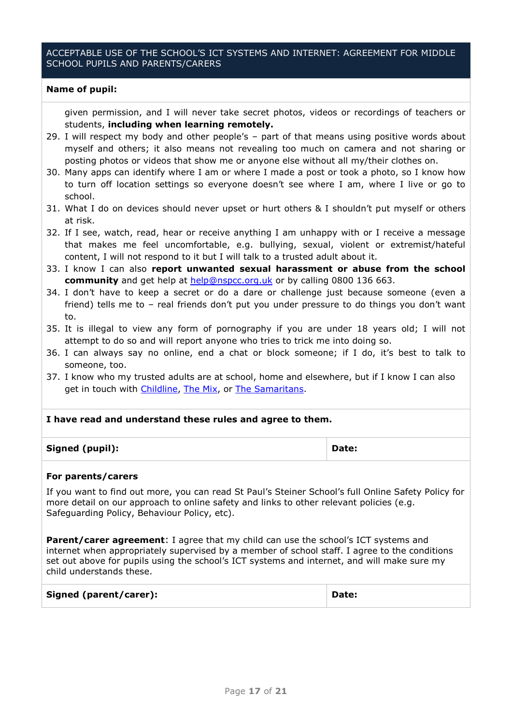#### ACCEPTABLE USE OF THE SCHOOL'S ICT SYSTEMS AND INTERNET: AGREEMENT FOR MIDDLE SCHOOL PUPILS AND PARENTS/CARERS

#### **Name of pupil:**

given permission, and I will never take secret photos, videos or recordings of teachers or students, **including when learning remotely.**

- 29. I will respect my body and other people's part of that means using positive words about myself and others; it also means not revealing too much on camera and not sharing or posting photos or videos that show me or anyone else without all my/their clothes on.
- 30. Many apps can identify where I am or where I made a post or took a photo, so I know how to turn off location settings so everyone doesn't see where I am, where I live or go to school.
- 31. What I do on devices should never upset or hurt others & I shouldn't put myself or others at risk.
- 32. If I see, watch, read, hear or receive anything I am unhappy with or I receive a message that makes me feel uncomfortable, e.g. bullying, sexual, violent or extremist/hateful content, I will not respond to it but I will talk to a trusted adult about it.
- 33. I know I can also **report unwanted sexual harassment or abuse from the school community** and get help at **help@nspcc.org.uk** or by calling 0800 136 663.
- 34. I don't have to keep a secret or do a dare or challenge just because someone (even a friend) tells me to – real friends don't put you under pressure to do things you don't want to.
- 35. It is illegal to view any form of pornography if you are under 18 years old; I will not attempt to do so and will report anyone who tries to trick me into doing so.
- 36. I can always say no online, end a chat or block someone; if I do, it's best to talk to someone, too.
- 37. I know who my trusted adults are at school, home and elsewhere, but if I know I can also get in touch with [Childline,](https://www.childline.org.uk/get-support/contacting-childline/) [The Mix,](https://www.themix.org.uk/about-us) or [The Samaritans.](https://www.samaritans.org/how-we-can-help-you/what-happens-when-you-contact-us/if-youre-under-18)

#### **I have read and understand these rules and agree to them.**

| Signed (pupil): | Date: |
|-----------------|-------|
|-----------------|-------|

#### **For parents/carers**

If you want to find out more, you can read St Paul's Steiner School's full Online Safety Policy for more detail on our approach to online safety and links to other relevant policies (e.g. Safeguarding Policy, Behaviour Policy, etc).

**Parent/carer agreement:** I agree that my child can use the school's ICT systems and internet when appropriately supervised by a member of school staff. I agree to the conditions set out above for pupils using the school's ICT systems and internet, and will make sure my child understands these.

| Signed (parent/carer): | Date: |
|------------------------|-------|
|------------------------|-------|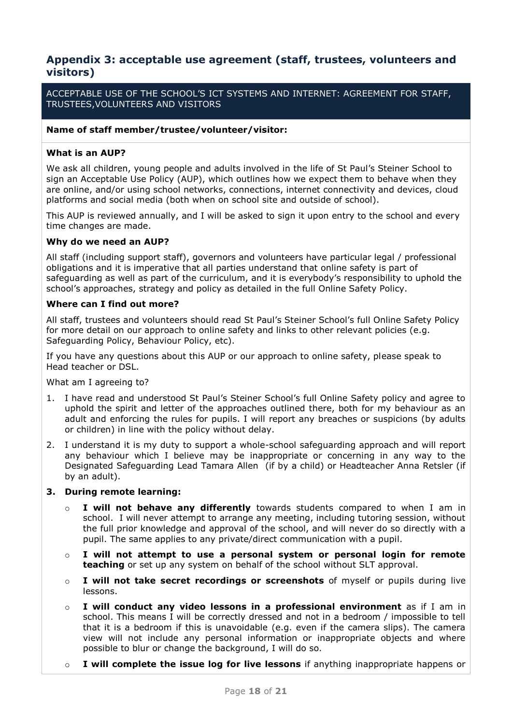### <span id="page-17-0"></span>**Appendix 3: acceptable use agreement (staff, trustees, volunteers and visitors)**

ACCEPTABLE USE OF THE SCHOOL'S ICT SYSTEMS AND INTERNET: AGREEMENT FOR STAFF, TRUSTEES,VOLUNTEERS AND VISITORS

#### **Name of staff member/trustee/volunteer/visitor:**

#### **What is an AUP?**

We ask all children, young people and adults involved in the life of St Paul's Steiner School to sign an Acceptable Use Policy (AUP), which outlines how we expect them to behave when they are online, and/or using school networks, connections, internet connectivity and devices, cloud platforms and social media (both when on school site and outside of school).

This AUP is reviewed annually, and I will be asked to sign it upon entry to the school and every time changes are made.

#### **Why do we need an AUP?**

All staff (including support staff), governors and volunteers have particular legal / professional obligations and it is imperative that all parties understand that online safety is part of safeguarding as well as part of the curriculum, and it is everybody's responsibility to uphold the school's approaches, strategy and policy as detailed in the full Online Safety Policy.

#### **Where can I find out more?**

All staff, trustees and volunteers should read St Paul's Steiner School's full Online Safety Policy for more detail on our approach to online safety and links to other relevant policies (e.g. Safeguarding Policy, Behaviour Policy, etc).

If you have any questions about this AUP or our approach to online safety, please speak to Head teacher or DSL.

What am I agreeing to?

- 1. I have read and understood St Paul's Steiner School's full Online Safety policy and agree to uphold the spirit and letter of the approaches outlined there, both for my behaviour as an adult and enforcing the rules for pupils. I will report any breaches or suspicions (by adults or children) in line with the policy without delay.
- 2. I understand it is my duty to support a whole-school safeguarding approach and will report any behaviour which I believe may be inappropriate or concerning in any way to the Designated Safeguarding Lead Tamara Allen (if by a child) or Headteacher Anna Retsler (if by an adult).

#### **3. During remote learning:**

- o **I will not behave any differently** towards students compared to when I am in school. I will never attempt to arrange any meeting, including tutoring session, without the full prior knowledge and approval of the school, and will never do so directly with a pupil. The same applies to any private/direct communication with a pupil.
- o **I will not attempt to use a personal system or personal login for remote teaching** or set up any system on behalf of the school without SLT approval.
- o **I will not take secret recordings or screenshots** of myself or pupils during live lessons.
- o **I will conduct any video lessons in a professional environment** as if I am in school. This means I will be correctly dressed and not in a bedroom / impossible to tell that it is a bedroom if this is unavoidable (e.g. even if the camera slips). The camera view will not include any personal information or inappropriate objects and where possible to blur or change the background, I will do so.
- o **I will complete the issue log for live lessons** if anything inappropriate happens or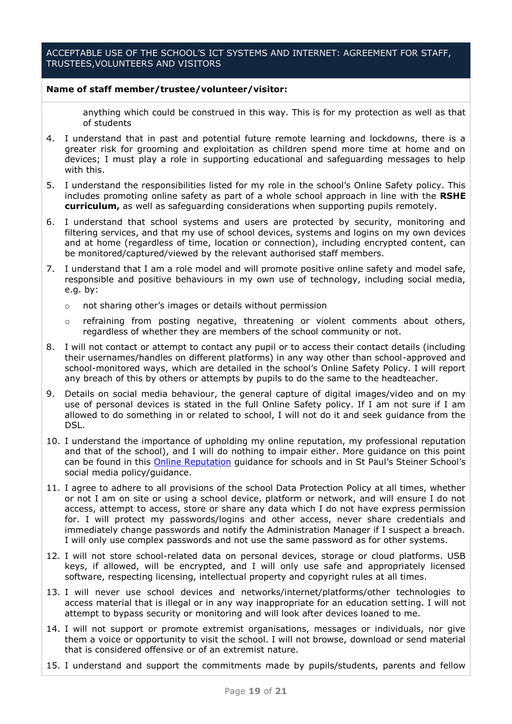#### ACCEPTABLE USE OF THE SCHOOL'S ICT SYSTEMS AND INTERNET: AGREEMENT FOR STAFF, TRUSTEES,VOLUNTEERS AND VISITORS

#### **Name of staff member/trustee/volunteer/visitor:**

anything which could be construed in this way. This is for my protection as well as that of students

- 4. I understand that in past and potential future remote learning and lockdowns, there is a greater risk for grooming and exploitation as children spend more time at home and on devices; I must play a role in supporting educational and safeguarding messages to help with this.
- 5. I understand the responsibilities listed for my role in the school's Online Safety policy. This includes promoting online safety as part of a whole school approach in line with the **RSHE curriculum,** as well as safeguarding considerations when supporting pupils remotely.
- 6. I understand that school systems and users are protected by security, monitoring and filtering services, and that my use of school devices, systems and logins on my own devices and at home (regardless of time, location or connection), including encrypted content, can be monitored/captured/viewed by the relevant authorised staff members.
- 7. I understand that I am a role model and will promote positive online safety and model safe, responsible and positive behaviours in my own use of technology, including social media, e.g. by:
	- o not sharing other's images or details without permission
	- $\circ$  refraining from posting negative, threatening or violent comments about others, regardless of whether they are members of the school community or not.
- 8. I will not contact or attempt to contact any pupil or to access their contact details (including their usernames/handles on different platforms) in any way other than school-approved and school-monitored ways, which are detailed in the school's Online Safety Policy. I will report any breach of this by others or attempts by pupils to do the same to the headteacher.
- 9. Details on social media behaviour, the general capture of digital images/video and on my use of personal devices is stated in the full Online Safety policy. If I am not sure if I am allowed to do something in or related to school, I will not do it and seek guidance from the DSL.
- 10. I understand the importance of upholding my online reputation, my professional reputation and that of the school), and I will do nothing to impair either. More guidance on this point can be found in this **Online Reputation** guidance for schools and in St Paul's Steiner School's social media policy/guidance.
- 11. I agree to adhere to all provisions of the school Data Protection Policy at all times, whether or not I am on site or using a school device, platform or network, and will ensure I do not access, attempt to access, store or share any data which I do not have express permission for. I will protect my passwords/logins and other access, never share credentials and immediately change passwords and notify the Administration Manager if I suspect a breach. I will only use complex passwords and not use the same password as for other systems.
- 12. I will not store school-related data on personal devices, storage or cloud platforms. USB keys, if allowed, will be encrypted, and I will only use safe and appropriately licensed software, respecting licensing, intellectual property and copyright rules at all times.
- 13. I will never use school devices and networks/internet/platforms/other technologies to access material that is illegal or in any way inappropriate for an education setting. I will not attempt to bypass security or monitoring and will look after devices loaned to me.
- 14. I will not support or promote extremist organisations, messages or individuals, nor give them a voice or opportunity to visit the school. I will not browse, download or send material that is considered offensive or of an extremist nature.
- 15. I understand and support the commitments made by pupils/students, parents and fellow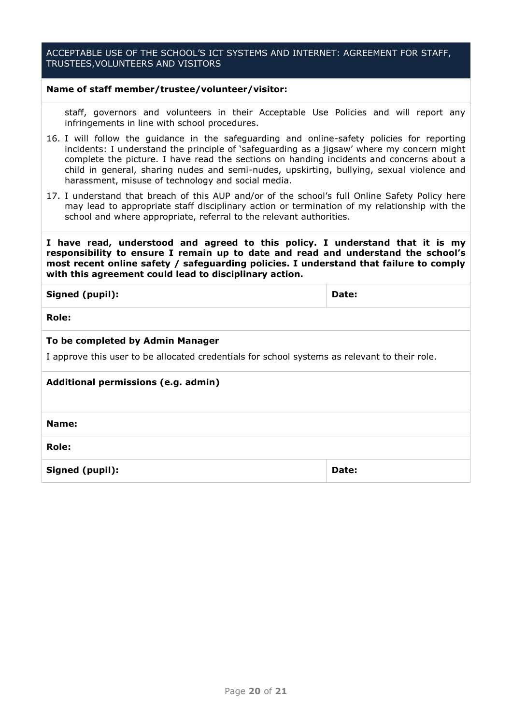#### ACCEPTABLE USE OF THE SCHOOL'S ICT SYSTEMS AND INTERNET: AGREEMENT FOR STAFF, TRUSTEES,VOLUNTEERS AND VISITORS

#### **Name of staff member/trustee/volunteer/visitor:**

staff, governors and volunteers in their Acceptable Use Policies and will report any infringements in line with school procedures.

- 16. I will follow the guidance in the safeguarding and online-safety policies for reporting incidents: I understand the principle of 'safeguarding as a jigsaw' where my concern might complete the picture. I have read the sections on handing incidents and concerns about a child in general, sharing nudes and semi-nudes, upskirting, bullying, sexual violence and harassment, misuse of technology and social media.
- 17. I understand that breach of this AUP and/or of the school's full Online Safety Policy here may lead to appropriate staff disciplinary action or termination of my relationship with the school and where appropriate, referral to the relevant authorities.

**I have read, understood and agreed to this policy. I understand that it is my responsibility to ensure I remain up to date and read and understand the school's most recent online safety / safeguarding policies. I understand that failure to comply with this agreement could lead to disciplinary action.**

<span id="page-19-0"></span>

| Signed (pupil):                                                                               | Date: |
|-----------------------------------------------------------------------------------------------|-------|
| <b>Role:</b>                                                                                  |       |
| To be completed by Admin Manager                                                              |       |
| I approve this user to be allocated credentials for school systems as relevant to their role. |       |
| Additional permissions (e.g. admin)                                                           |       |
|                                                                                               |       |
| Name:                                                                                         |       |
| <b>Role:</b>                                                                                  |       |
| Signed (pupil):                                                                               | Date: |